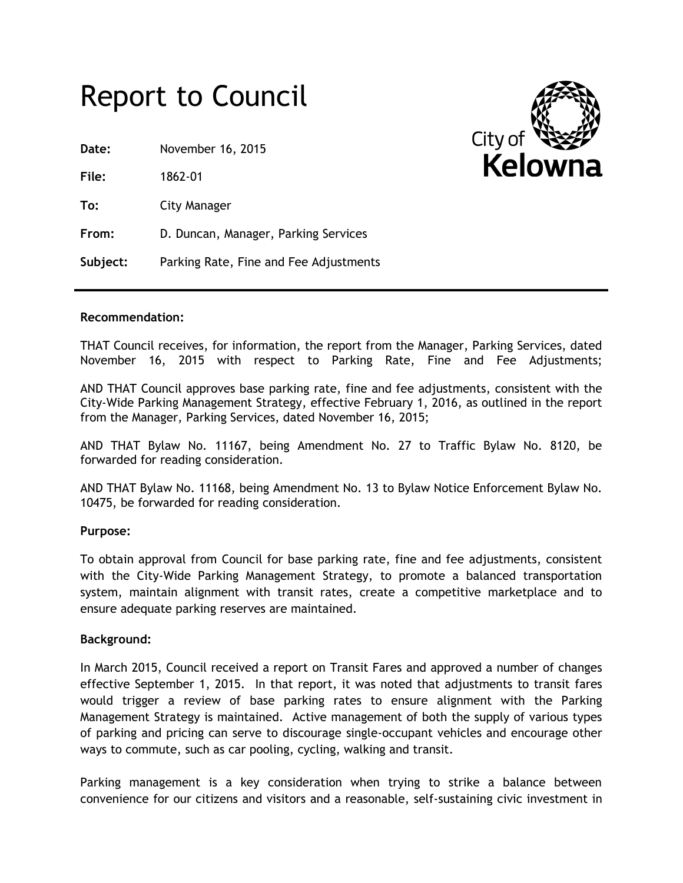# Report to Council

**Date:** November 16, 2015

**File:** 1862-01

**To:** City Manager

**From:** D. Duncan, Manager, Parking Services

**Subject:** Parking Rate, Fine and Fee Adjustments



#### **Recommendation:**

THAT Council receives, for information, the report from the Manager, Parking Services, dated November 16, 2015 with respect to Parking Rate, Fine and Fee Adjustments;

AND THAT Council approves base parking rate, fine and fee adjustments, consistent with the City-Wide Parking Management Strategy, effective February 1, 2016, as outlined in the report from the Manager, Parking Services, dated November 16, 2015;

AND THAT Bylaw No. 11167, being Amendment No. 27 to Traffic Bylaw No. 8120, be forwarded for reading consideration.

AND THAT Bylaw No. 11168, being Amendment No. 13 to Bylaw Notice Enforcement Bylaw No. 10475, be forwarded for reading consideration.

## **Purpose:**

To obtain approval from Council for base parking rate, fine and fee adjustments, consistent with the City-Wide Parking Management Strategy, to promote a balanced transportation system, maintain alignment with transit rates, create a competitive marketplace and to ensure adequate parking reserves are maintained.

## **Background:**

In March 2015, Council received a report on Transit Fares and approved a number of changes effective September 1, 2015. In that report, it was noted that adjustments to transit fares would trigger a review of base parking rates to ensure alignment with the Parking Management Strategy is maintained. Active management of both the supply of various types of parking and pricing can serve to discourage single-occupant vehicles and encourage other ways to commute, such as car pooling, cycling, walking and transit.

Parking management is a key consideration when trying to strike a balance between convenience for our citizens and visitors and a reasonable, self-sustaining civic investment in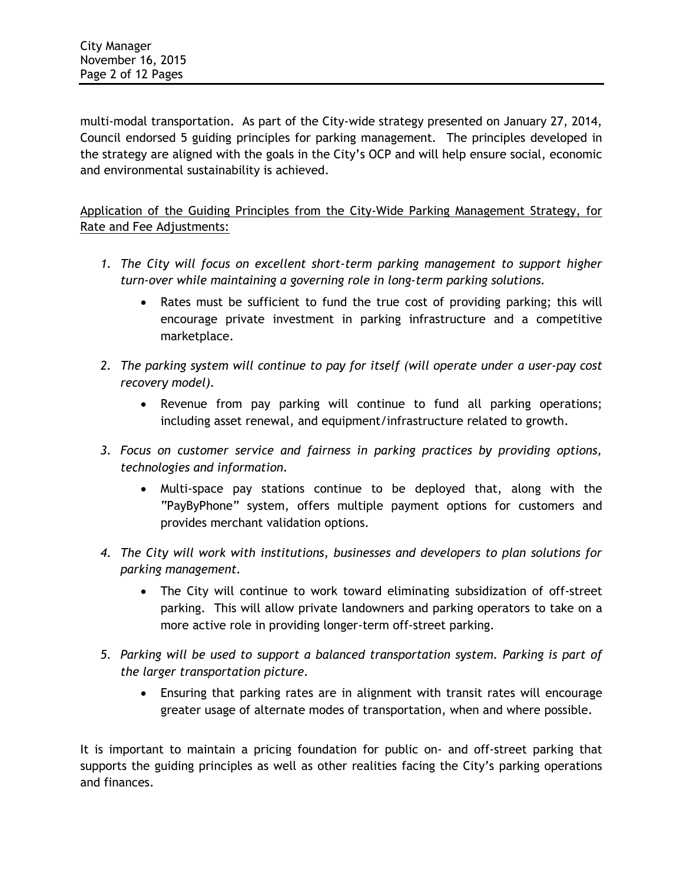multi-modal transportation. As part of the City-wide strategy presented on January 27, 2014, Council endorsed 5 guiding principles for parking management. The principles developed in the strategy are aligned with the goals in the City's OCP and will help ensure social, economic and environmental sustainability is achieved.

Application of the Guiding Principles from the City-Wide Parking Management Strategy, for Rate and Fee Adjustments:

- 1. The City will focus on excellent short-term parking management to support higher *turn-over while maintaining a governing role in long-term parking solutions.*
	- Rates must be sufficient to fund the true cost of providing parking; this will encourage private investment in parking infrastructure and a competitive marketplace.
- *2. The parking system will continue to pay for itself (will operate under a user-pay cost recovery model).*
	- Revenue from pay parking will continue to fund all parking operations; including asset renewal, and equipment/infrastructure related to growth.
- *3. Focus on customer service and fairness in parking practices by providing options, technologies and information.*
	- Multi-space pay stations continue to be deployed that, along with the "PayByPhone" system, offers multiple payment options for customers and provides merchant validation options.
- *4. The City will work with institutions, businesses and developers to plan solutions for parking management.*
	- The City will continue to work toward eliminating subsidization of off-street parking. This will allow private landowners and parking operators to take on a more active role in providing longer-term off-street parking.
- *5. Parking will be used to support a balanced transportation system. Parking is part of the larger transportation picture.* 
	- Ensuring that parking rates are in alignment with transit rates will encourage greater usage of alternate modes of transportation, when and where possible.

It is important to maintain a pricing foundation for public on- and off-street parking that supports the guiding principles as well as other realities facing the City's parking operations and finances.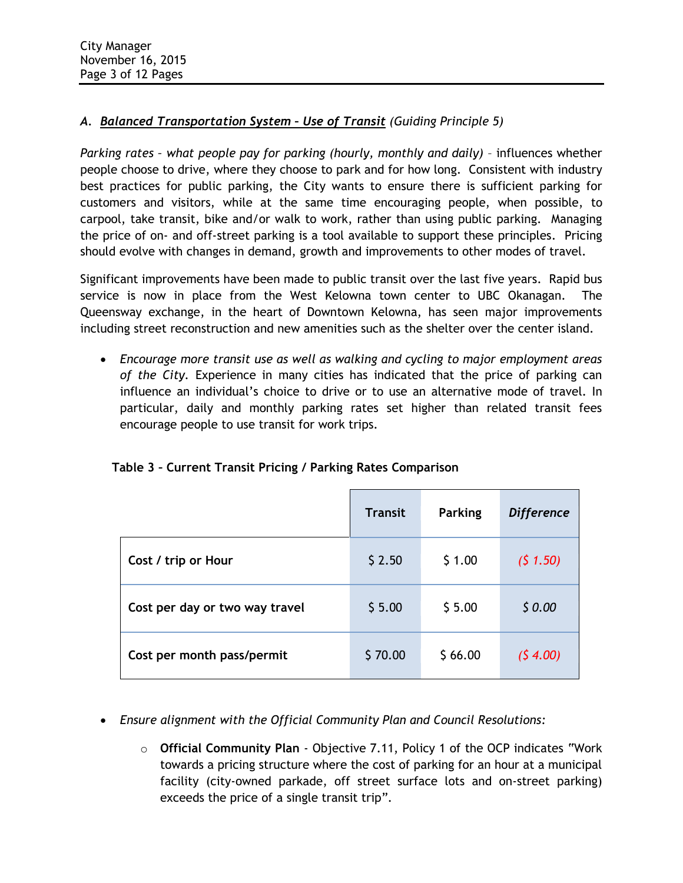# *A. Balanced Transportation System – Use of Transit (Guiding Principle 5)*

*Parking rates – what people pay for parking (hourly, monthly and daily)* – influences whether people choose to drive, where they choose to park and for how long. Consistent with industry best practices for public parking, the City wants to ensure there is sufficient parking for customers and visitors, while at the same time encouraging people, when possible, to carpool, take transit, bike and/or walk to work, rather than using public parking. Managing the price of on- and off-street parking is a tool available to support these principles. Pricing should evolve with changes in demand, growth and improvements to other modes of travel.

Significant improvements have been made to public transit over the last five years. Rapid bus service is now in place from the West Kelowna town center to UBC Okanagan. The Queensway exchange, in the heart of Downtown Kelowna, has seen major improvements including street reconstruction and new amenities such as the shelter over the center island.

 *Encourage more transit use as well as walking and cycling to major employment areas of the City.* Experience in many cities has indicated that the price of parking can influence an individual's choice to drive or to use an alternative mode of travel. In particular, daily and monthly parking rates set higher than related transit fees encourage people to use transit for work trips.

|                                | <b>Transit</b> | Parking | <b>Difference</b> |
|--------------------------------|----------------|---------|-------------------|
| Cost / trip or Hour            | \$2.50         | \$1.00  | (5 1.50)          |
| Cost per day or two way travel | \$5.00         | \$5.00  | \$0.00            |
| Cost per month pass/permit     | \$70.00        | \$66.00 | (54.00)           |

# **Table 3 – Current Transit Pricing / Parking Rates Comparison**

- *Ensure alignment with the Official Community Plan and Council Resolutions:*
	- o **Official Community Plan** Objective 7.11, Policy 1 of the OCP indicates "Work towards a pricing structure where the cost of parking for an hour at a municipal facility (city-owned parkade, off street surface lots and on-street parking) exceeds the price of a single transit trip".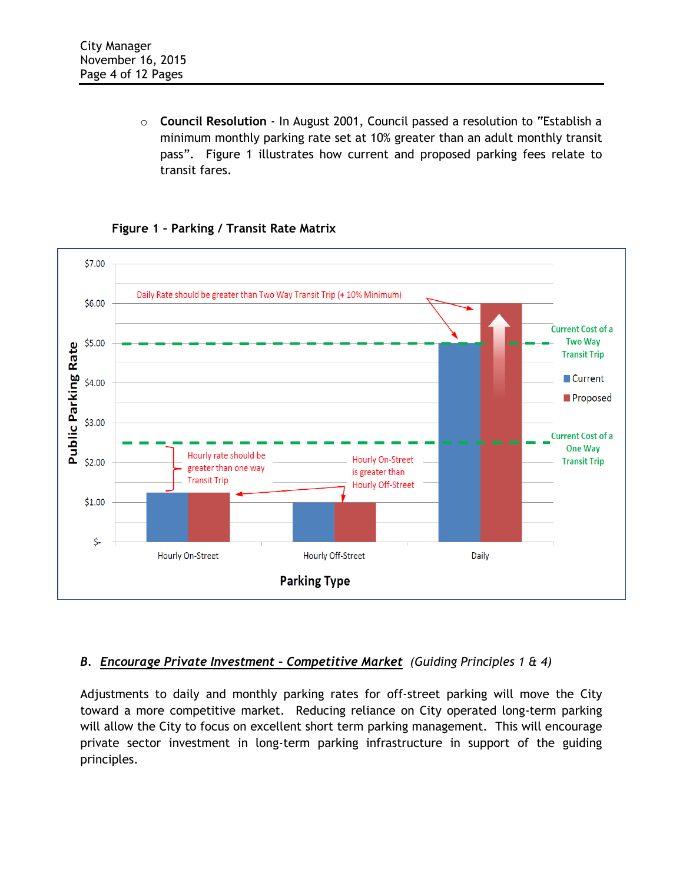o **Council Resolution** - In August 2001, Council passed a resolution to "Establish a minimum monthly parking rate set at 10% greater than an adult monthly transit pass". Figure 1 illustrates how current and proposed parking fees relate to transit fares.

# **Figure 1 – Parking / Transit Rate Matrix**



# *B. Encourage Private Investment – Competitive Market (Guiding Principles 1 & 4)*

Adjustments to daily and monthly parking rates for off-street parking will move the City toward a more competitive market. Reducing reliance on City operated long-term parking will allow the City to focus on excellent short term parking management. This will encourage private sector investment in long-term parking infrastructure in support of the guiding principles.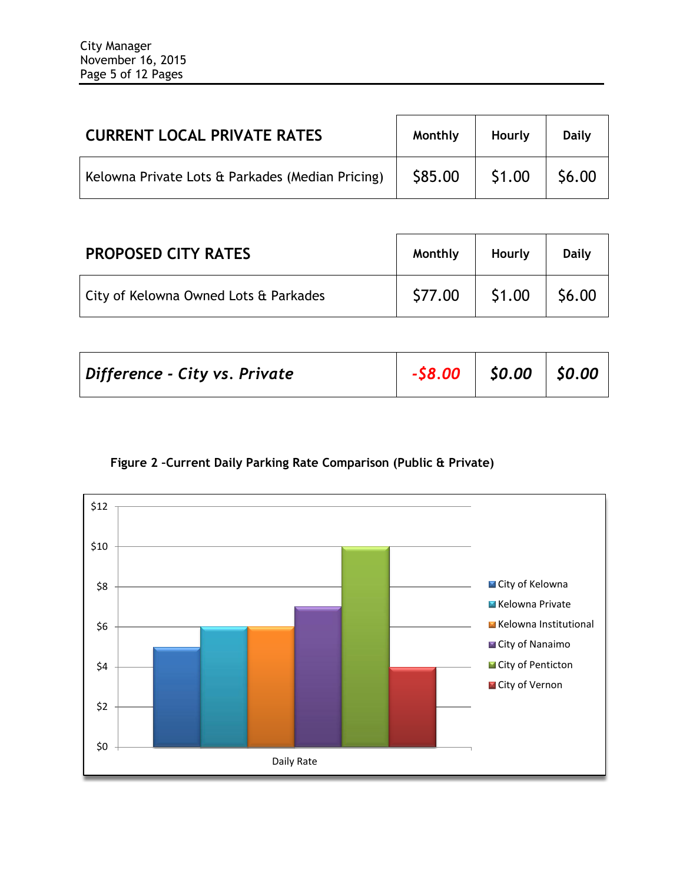| <b>CURRENT LOCAL PRIVATE RATES</b>               | Monthly | Hourly                                      | <b>Daily</b> |
|--------------------------------------------------|---------|---------------------------------------------|--------------|
| Kelowna Private Lots & Parkades (Median Pricing) | \$85.00 | $\begin{array}{c} \fbox{51.00} \end{array}$ | \$6.00       |

| <b>PROPOSED CITY RATES</b>            | Monthly | Hourly         | <b>Daily</b>      |
|---------------------------------------|---------|----------------|-------------------|
| City of Kelowna Owned Lots & Parkades | \$77.00 | $\vert$ \$1.00 | $\frac{1}{56.00}$ |

| $-$ \$8.00 $\vert$ \$0.00 $\vert$ \$0.00<br>Difference - City vs. Private |  |  |  |  |
|---------------------------------------------------------------------------|--|--|--|--|
|---------------------------------------------------------------------------|--|--|--|--|



**Figure 2 –Current Daily Parking Rate Comparison (Public & Private)**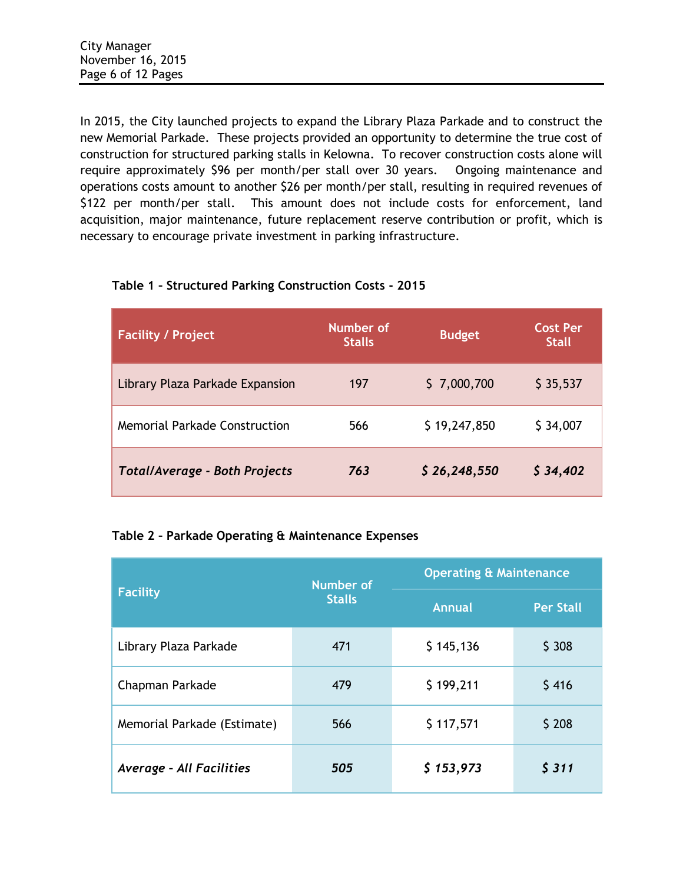In 2015, the City launched projects to expand the Library Plaza Parkade and to construct the new Memorial Parkade. These projects provided an opportunity to determine the true cost of construction for structured parking stalls in Kelowna. To recover construction costs alone will require approximately \$96 per month/per stall over 30 years. Ongoing maintenance and operations costs amount to another \$26 per month/per stall, resulting in required revenues of \$122 per month/per stall. This amount does not include costs for enforcement, land acquisition, major maintenance, future replacement reserve contribution or profit, which is necessary to encourage private investment in parking infrastructure.

| <b>Facility / Project</b>            | Number of<br><b>Stalls</b> | <b>Budget</b> | <b>Cost Per</b><br><b>Stall</b> |
|--------------------------------------|----------------------------|---------------|---------------------------------|
| Library Plaza Parkade Expansion      | 197                        | \$7,000,700   | \$35,537                        |
| <b>Memorial Parkade Construction</b> | 566                        | \$19,247,850  | \$34,007                        |
| <b>Total/Average - Both Projects</b> | 763                        | \$26,248,550  | \$34,402                        |

# **Table 1 – Structured Parking Construction Costs - 2015**

# **Table 2 – Parkade Operating & Maintenance Expenses**

|                                 | <b>Number of</b> | <b>Operating &amp; Maintenance</b> |                  |  |
|---------------------------------|------------------|------------------------------------|------------------|--|
| Facility                        | <b>Stalls</b>    | <b>Annual</b>                      | <b>Per Stall</b> |  |
| Library Plaza Parkade           | 471              | \$145,136                          | \$308            |  |
| Chapman Parkade                 | 479              | \$199,211                          | \$416            |  |
| Memorial Parkade (Estimate)     | 566              | \$117,571                          | \$208            |  |
| <b>Average - All Facilities</b> | 505              | \$153,973                          | 5311             |  |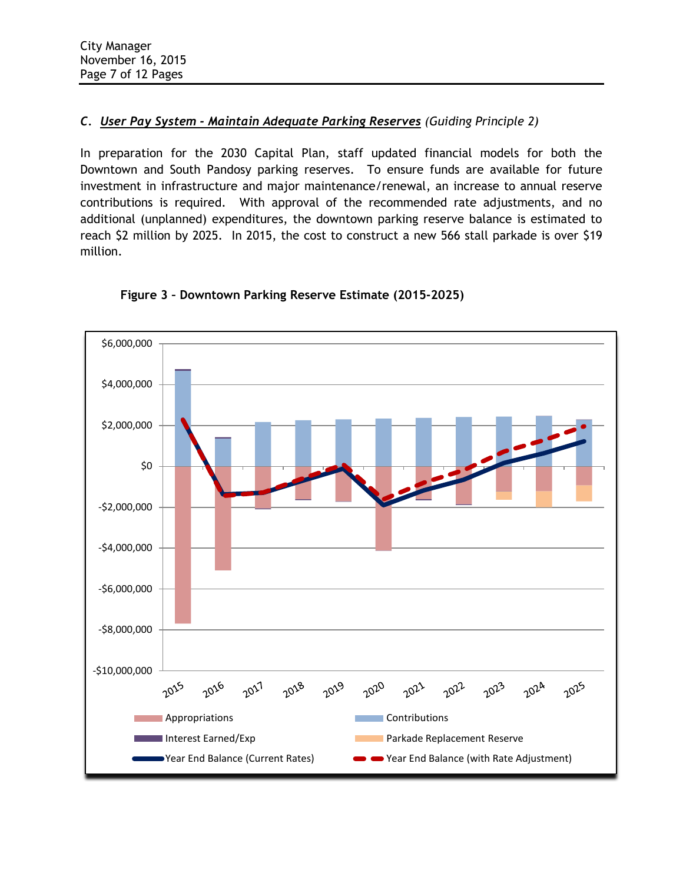## *C. User Pay System - Maintain Adequate Parking Reserves (Guiding Principle 2)*

In preparation for the 2030 Capital Plan, staff updated financial models for both the Downtown and South Pandosy parking reserves. To ensure funds are available for future investment in infrastructure and major maintenance/renewal, an increase to annual reserve contributions is required. With approval of the recommended rate adjustments, and no additional (unplanned) expenditures, the downtown parking reserve balance is estimated to reach \$2 million by 2025. In 2015, the cost to construct a new 566 stall parkade is over \$19 million.



**Figure 3 – Downtown Parking Reserve Estimate (2015-2025)**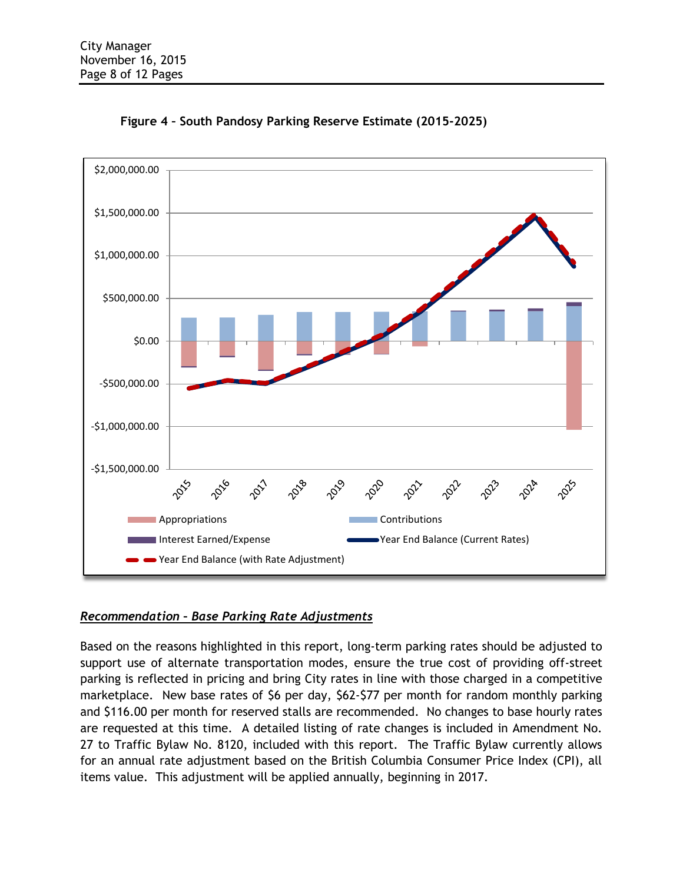



# *Recommendation – Base Parking Rate Adjustments*

Based on the reasons highlighted in this report, long-term parking rates should be adjusted to support use of alternate transportation modes, ensure the true cost of providing off-street parking is reflected in pricing and bring City rates in line with those charged in a competitive marketplace. New base rates of \$6 per day, \$62-\$77 per month for random monthly parking and \$116.00 per month for reserved stalls are recommended. No changes to base hourly rates are requested at this time. A detailed listing of rate changes is included in Amendment No. 27 to Traffic Bylaw No. 8120, included with this report. The Traffic Bylaw currently allows for an annual rate adjustment based on the British Columbia Consumer Price Index (CPI), all items value. This adjustment will be applied annually, beginning in 2017.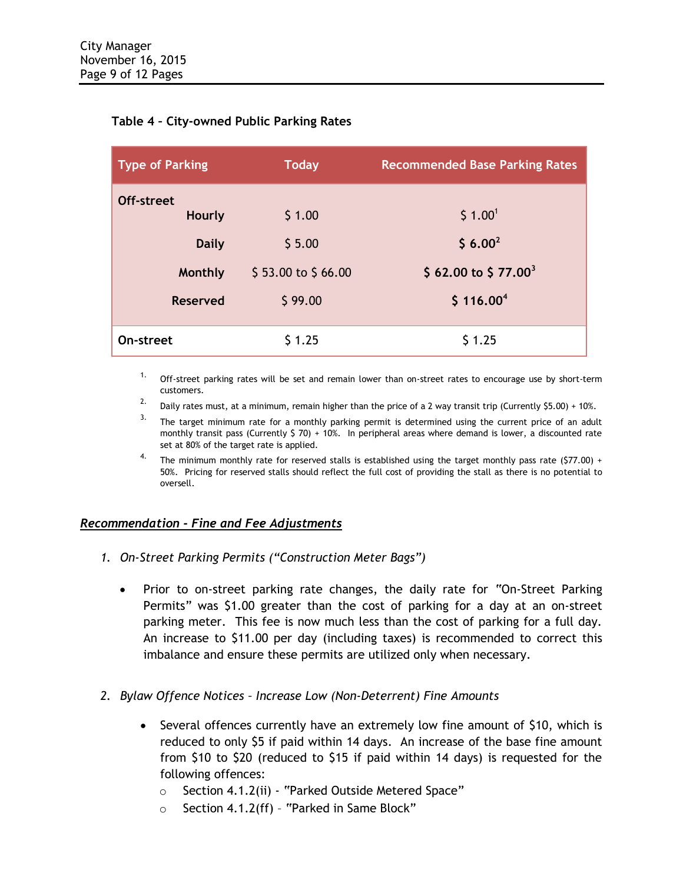## **Table 4 – City-owned Public Parking Rates**

| Type of Parking      | <b>Today</b>       | <b>Recommended Base Parking Rates</b> |
|----------------------|--------------------|---------------------------------------|
| Off-street<br>Hourly | \$1.00             | \$1.00 <sup>1</sup>                   |
| <b>Daily</b>         | \$5.00             | $$6.00^2$                             |
| Monthly              | \$53.00 to \$66.00 | \$62.00 to \$77.00 <sup>3</sup>       |
| Reserved             | \$99.00            | \$116.00 <sup>4</sup>                 |
| On-street            | \$1.25             | \$1.25                                |

<sup>1.</sup> Off-street parking rates will be set and remain lower than on-street rates to encourage use by short-term customers.

- <sup>2.</sup> Daily rates must, at a minimum, remain higher than the price of a 2 way transit trip (Currently \$5.00) + 10%.
- <sup>3.</sup> The target minimum rate for a monthly parking permit is determined using the current price of an adult monthly transit pass (Currently  $$70) + 10%$ . In peripheral areas where demand is lower, a discounted rate set at 80% of the target rate is applied.
- <sup>4.</sup> The minimum monthly rate for reserved stalls is established using the target monthly pass rate (\$77.00) + 50%. Pricing for reserved stalls should reflect the full cost of providing the stall as there is no potential to oversell.

## *Recommendation - Fine and Fee Adjustments*

- *1. On-Street Parking Permits ("Construction Meter Bags")*
	- Prior to on-street parking rate changes, the daily rate for "On-Street Parking Permits" was \$1.00 greater than the cost of parking for a day at an on-street parking meter. This fee is now much less than the cost of parking for a full day. An increase to \$11.00 per day (including taxes) is recommended to correct this imbalance and ensure these permits are utilized only when necessary.
- *2. Bylaw Offence Notices – Increase Low (Non-Deterrent) Fine Amounts*
	- Several offences currently have an extremely low fine amount of \$10, which is reduced to only \$5 if paid within 14 days. An increase of the base fine amount from \$10 to \$20 (reduced to \$15 if paid within 14 days) is requested for the following offences:
		- o Section 4.1.2(ii) "Parked Outside Metered Space"
		- o Section 4.1.2(ff) "Parked in Same Block"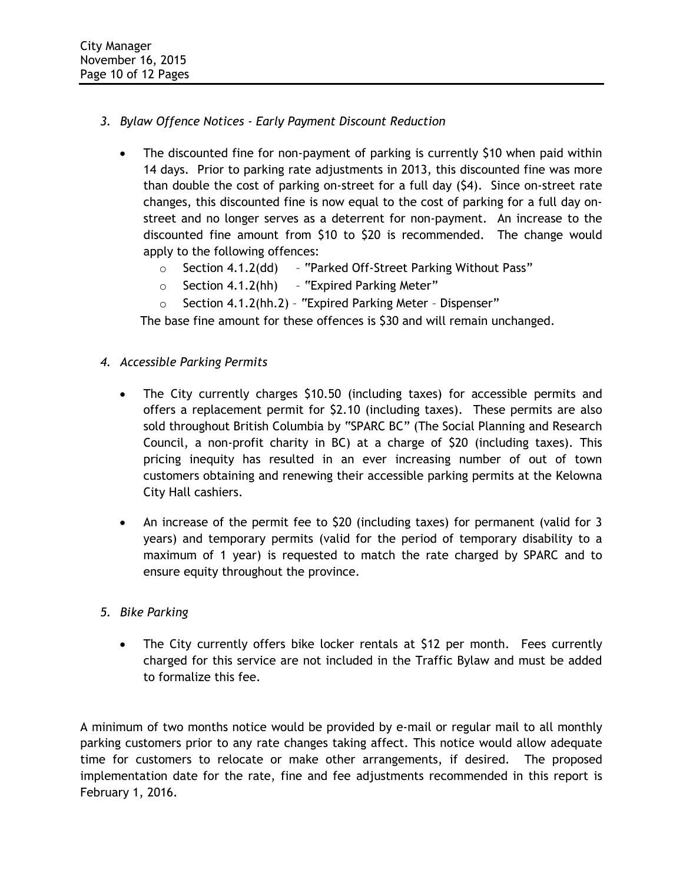- *3. Bylaw Offence Notices - Early Payment Discount Reduction*
	- The discounted fine for non-payment of parking is currently \$10 when paid within 14 days. Prior to parking rate adjustments in 2013, this discounted fine was more than double the cost of parking on-street for a full day (\$4). Since on-street rate changes, this discounted fine is now equal to the cost of parking for a full day onstreet and no longer serves as a deterrent for non-payment. An increase to the discounted fine amount from \$10 to \$20 is recommended. The change would apply to the following offences:
		- o Section 4.1.2(dd) "Parked Off-Street Parking Without Pass"
		- $\circ$  Section 4.1.2(hh) "Expired Parking Meter"
		- o Section 4.1.2(hh.2) "Expired Parking Meter Dispenser"

The base fine amount for these offences is \$30 and will remain unchanged.

- *4. Accessible Parking Permits* 
	- The City currently charges \$10.50 (including taxes) for accessible permits and offers a replacement permit for \$2.10 (including taxes). These permits are also sold throughout British Columbia by "SPARC BC" (The Social Planning and Research Council, a non-profit charity in BC) at a charge of \$20 (including taxes). This pricing inequity has resulted in an ever increasing number of out of town customers obtaining and renewing their accessible parking permits at the Kelowna City Hall cashiers.
	- An increase of the permit fee to \$20 (including taxes) for permanent (valid for 3 years) and temporary permits (valid for the period of temporary disability to a maximum of 1 year) is requested to match the rate charged by SPARC and to ensure equity throughout the province.

# *5. Bike Parking*

• The City currently offers bike locker rentals at \$12 per month. Fees currently charged for this service are not included in the Traffic Bylaw and must be added to formalize this fee.

A minimum of two months notice would be provided by e-mail or regular mail to all monthly parking customers prior to any rate changes taking affect. This notice would allow adequate time for customers to relocate or make other arrangements, if desired. The proposed implementation date for the rate, fine and fee adjustments recommended in this report is February 1, 2016.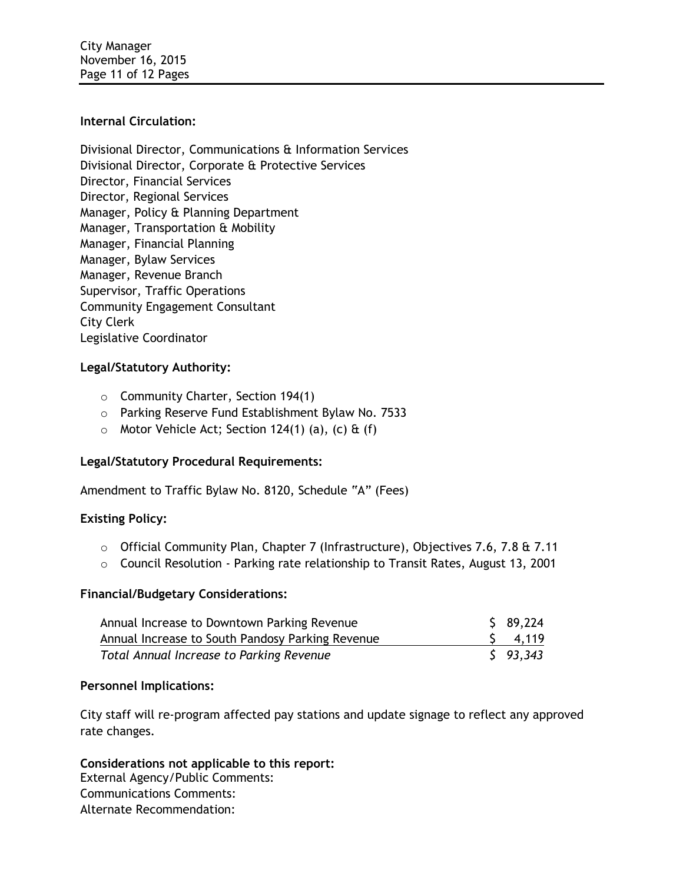City Manager November 16, 2015 Page 11 of 12 Pages

#### **Internal Circulation:**

Divisional Director, Communications & Information Services Divisional Director, Corporate & Protective Services Director, Financial Services Director, Regional Services Manager, Policy & Planning Department Manager, Transportation & Mobility Manager, Financial Planning Manager, Bylaw Services Manager, Revenue Branch Supervisor, Traffic Operations Community Engagement Consultant City Clerk Legislative Coordinator

## **Legal/Statutory Authority:**

- o Community Charter, Section 194(1)
- o Parking Reserve Fund Establishment Bylaw No. 7533
- $\circ$  Motor Vehicle Act; Section 124(1) (a), (c) & (f)

#### **Legal/Statutory Procedural Requirements:**

Amendment to Traffic Bylaw No. 8120, Schedule "A" (Fees)

#### **Existing Policy:**

- $\circ$  Official Community Plan, Chapter 7 (Infrastructure), Objectives 7.6, 7.8 & 7.11
- o Council Resolution Parking rate relationship to Transit Rates, August 13, 2001

#### **Financial/Budgetary Considerations:**

| Annual Increase to Downtown Parking Revenue      | \$89,224        |
|--------------------------------------------------|-----------------|
| Annual Increase to South Pandosy Parking Revenue | $5 \quad 4,119$ |
| Total Annual Increase to Parking Revenue         | $5$ 93.343      |

#### **Personnel Implications:**

City staff will re-program affected pay stations and update signage to reflect any approved rate changes.

## **Considerations not applicable to this report:**

External Agency/Public Comments: Communications Comments: Alternate Recommendation: